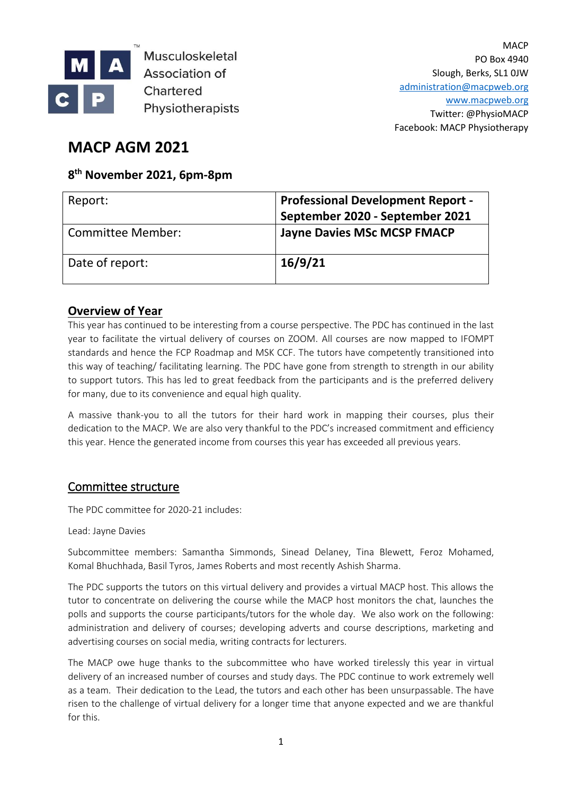

Musculoskeletal Association of Chartered Physiotherapists

**MACP** PO Box 4940 Slough, Berks, SL1 0JW [administration@macpweb.org](mailto:administration@macpweb.org) [www.macpweb.org](http://www.macpweb.org/) Twitter: @PhysioMACP Facebook: MACP Physiotherapy

# **MACP AGM 2021**

# **8 th November 2021, 6pm-8pm**

| Report:           | <b>Professional Development Report -</b><br>September 2020 - September 2021 |
|-------------------|-----------------------------------------------------------------------------|
| Committee Member: | <b>Jayne Davies MSc MCSP FMACP</b>                                          |
| Date of report:   | 16/9/21                                                                     |

# **Overview of Year**

This year has continued to be interesting from a course perspective. The PDC has continued in the last year to facilitate the virtual delivery of courses on ZOOM. All courses are now mapped to IFOMPT standards and hence the FCP Roadmap and MSK CCF. The tutors have competently transitioned into this way of teaching/ facilitating learning. The PDC have gone from strength to strength in our ability to support tutors. This has led to great feedback from the participants and is the preferred delivery for many, due to its convenience and equal high quality.

A massive thank-you to all the tutors for their hard work in mapping their courses, plus their dedication to the MACP. We are also very thankful to the PDC's increased commitment and efficiency this year. Hence the generated income from courses this year has exceeded all previous years.

# Committee structure

The PDC committee for 2020-21 includes:

#### Lead: Jayne Davies

Subcommittee members: Samantha Simmonds, Sinead Delaney, Tina Blewett, Feroz Mohamed, Komal Bhuchhada, Basil Tyros, James Roberts and most recently Ashish Sharma.

The PDC supports the tutors on this virtual delivery and provides a virtual MACP host. This allows the tutor to concentrate on delivering the course while the MACP host monitors the chat, launches the polls and supports the course participants/tutors for the whole day. We also work on the following: administration and delivery of courses; developing adverts and course descriptions, marketing and advertising courses on social media, writing contracts for lecturers.

The MACP owe huge thanks to the subcommittee who have worked tirelessly this year in virtual delivery of an increased number of courses and study days. The PDC continue to work extremely well as a team. Their dedication to the Lead, the tutors and each other has been unsurpassable. The have risen to the challenge of virtual delivery for a longer time that anyone expected and we are thankful for this.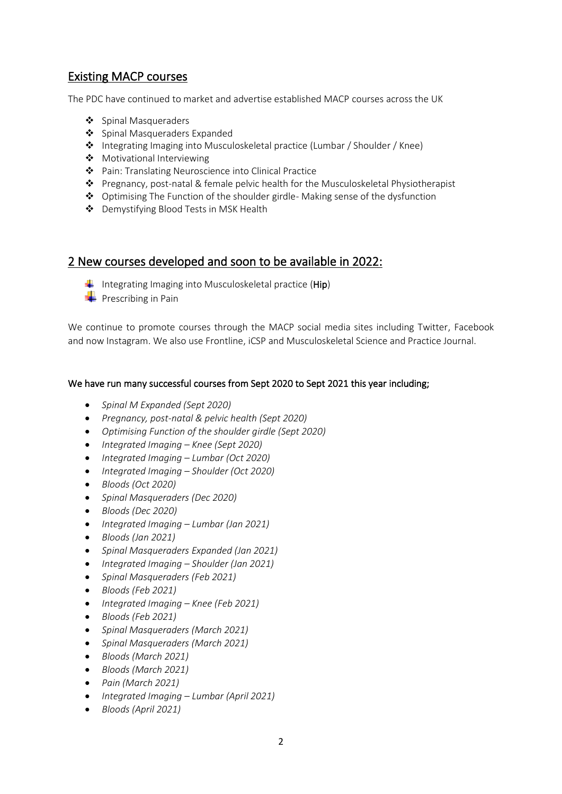# Existing MACP courses

The PDC have continued to market and advertise established MACP courses across the UK

- ❖ Spinal Masqueraders
- ❖ Spinal Masqueraders Expanded
- ❖ Integrating Imaging into Musculoskeletal practice (Lumbar / Shoulder / Knee)
- ❖ Motivational Interviewing
- ❖ Pain: Translating Neuroscience into Clinical Practice
- ❖ Pregnancy, post-natal & female pelvic health for the Musculoskeletal Physiotherapist
- ❖ Optimising The Function of the shoulder girdle- Making sense of the dysfunction
- ❖ Demystifying Blood Tests in MSK Health

### 2 New courses developed and soon to be available in 2022:

- Integrating Imaging into Musculoskeletal practice ( $\text{Hip}$ )
- $\leftarrow$  Prescribing in Pain

We continue to promote courses through the MACP social media sites including Twitter, Facebook and now Instagram. We also use Frontline, iCSP and Musculoskeletal Science and Practice Journal.

#### We have run many successful courses from Sept 2020 to Sept 2021 this year including;

- *Spinal M Expanded (Sept 2020)*
- *Pregnancy, post-natal & pelvic health (Sept 2020)*
- *Optimising Function of the shoulder girdle (Sept 2020)*
- *Integrated Imaging – Knee (Sept 2020)*
- *Integrated Imaging – Lumbar (Oct 2020)*
- *Integrated Imaging – Shoulder (Oct 2020)*
- *Bloods (Oct 2020)*
- *Spinal Masqueraders (Dec 2020)*
- *Bloods (Dec 2020)*
- *Integrated Imaging – Lumbar (Jan 2021)*
- *Bloods (Jan 2021)*
- *Spinal Masqueraders Expanded (Jan 2021)*
- *Integrated Imaging – Shoulder (Jan 2021)*
- *Spinal Masqueraders (Feb 2021)*
- *Bloods (Feb 2021)*
- *Integrated Imaging – Knee (Feb 2021)*
- *Bloods (Feb 2021)*
- *Spinal Masqueraders (March 2021)*
- *Spinal Masqueraders (March 2021)*
- *Bloods (March 2021)*
- *Bloods (March 2021)*
- *Pain (March 2021)*
- *Integrated Imaging – Lumbar (April 2021)*
- *Bloods (April 2021)*